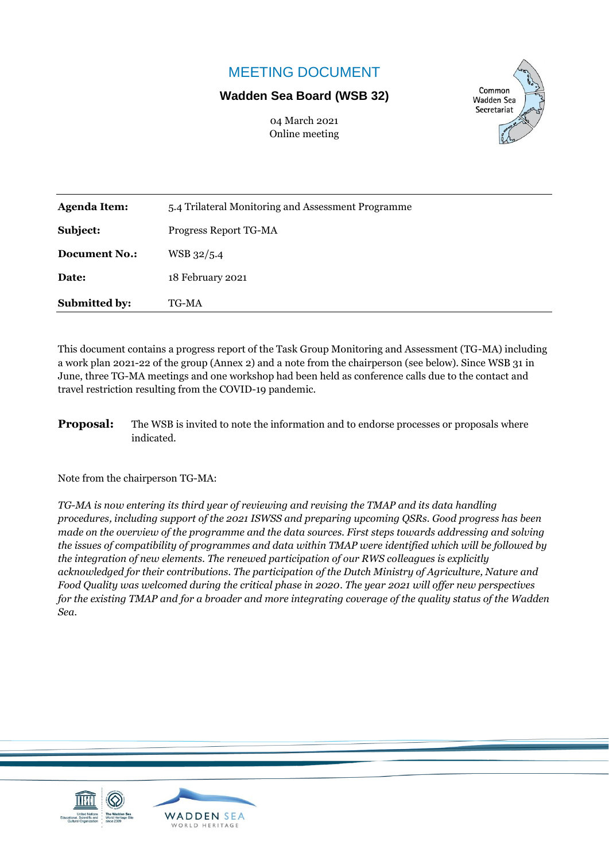# MEETING DOCUMENT

## **Wadden Sea Board (WSB 32)**

04 March 2021 Online meeting



| <b>Submitted by:</b> | TG-MA                                              |  |  |  |  |  |  |  |
|----------------------|----------------------------------------------------|--|--|--|--|--|--|--|
| Date:                | 18 February 2021                                   |  |  |  |  |  |  |  |
| <b>Document No.:</b> | WSB 32/5.4                                         |  |  |  |  |  |  |  |
| Subject:             | Progress Report TG-MA                              |  |  |  |  |  |  |  |
| <b>Agenda Item:</b>  | 5.4 Trilateral Monitoring and Assessment Programme |  |  |  |  |  |  |  |

This document contains a progress report of the Task Group Monitoring and Assessment (TG-MA) including a work plan 2021-22 of the group (Annex 2) and a note from the chairperson (see below). Since WSB 31 in June, three TG-MA meetings and one workshop had been held as conference calls due to the contact and travel restriction resulting from the COVID-19 pandemic.

**Proposal:** The WSB is invited to note the information and to endorse processes or proposals where indicated.

Note from the chairperson TG-MA:

*TG-MA is now entering its third year of reviewing and revising the TMAP and its data handling procedures, including support of the 2021 ISWSS and preparing upcoming QSRs. Good progress has been made on the overview of the programme and the data sources. First steps towards addressing and solving the issues of compatibility of programmes and data within TMAP were identified which will be followed by the integration of new elements. The renewed participation of our RWS colleagues is explicitly acknowledged for their contributions. The participation of the Dutch Ministry of Agriculture, Nature and Food Quality was welcomed during the critical phase in 2020. The year 2021 will offer new perspectives for the existing TMAP and for a broader and more integrating coverage of the quality status of the Wadden Sea.*



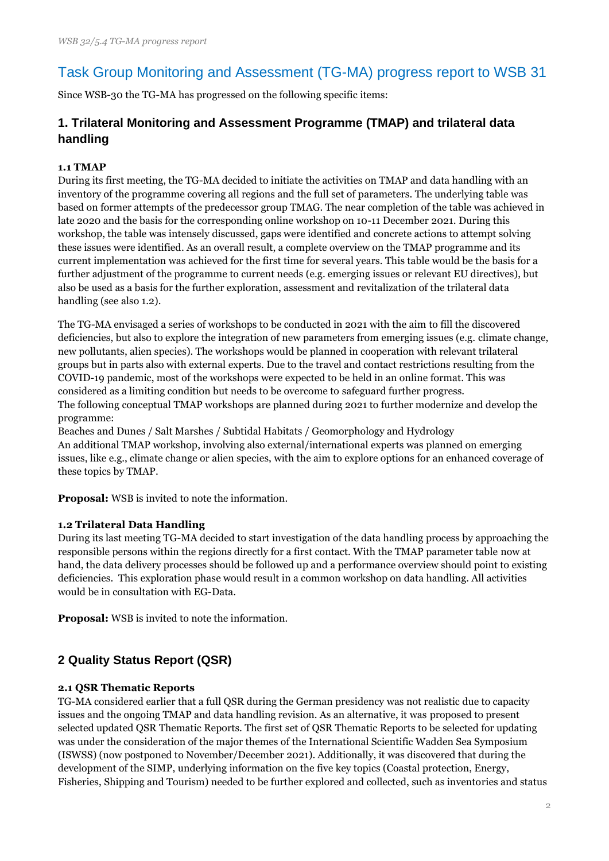# Task Group Monitoring and Assessment (TG-MA) progress report to WSB 31

Since WSB-30 the TG-MA has progressed on the following specific items:

## **1. Trilateral Monitoring and Assessment Programme (TMAP) and trilateral data handling**

#### **1.1 TMAP**

During its first meeting, the TG-MA decided to initiate the activities on TMAP and data handling with an inventory of the programme covering all regions and the full set of parameters. The underlying table was based on former attempts of the predecessor group TMAG. The near completion of the table was achieved in late 2020 and the basis for the corresponding online workshop on 10-11 December 2021. During this workshop, the table was intensely discussed, gaps were identified and concrete actions to attempt solving these issues were identified. As an overall result, a complete overview on the TMAP programme and its current implementation was achieved for the first time for several years. This table would be the basis for a further adjustment of the programme to current needs (e.g. emerging issues or relevant EU directives), but also be used as a basis for the further exploration, assessment and revitalization of the trilateral data handling (see also 1.2).

The TG-MA envisaged a series of workshops to be conducted in 2021 with the aim to fill the discovered deficiencies, but also to explore the integration of new parameters from emerging issues (e.g. climate change, new pollutants, alien species). The workshops would be planned in cooperation with relevant trilateral groups but in parts also with external experts. Due to the travel and contact restrictions resulting from the COVID-19 pandemic, most of the workshops were expected to be held in an online format. This was considered as a limiting condition but needs to be overcome to safeguard further progress. The following conceptual TMAP workshops are planned during 2021 to further modernize and develop the programme:

Beaches and Dunes / Salt Marshes / Subtidal Habitats / Geomorphology and Hydrology An additional TMAP workshop, involving also external/international experts was planned on emerging issues, like e.g., climate change or alien species, with the aim to explore options for an enhanced coverage of these topics by TMAP.

**Proposal:** WSB is invited to note the information.

#### **1.2 Trilateral Data Handling**

During its last meeting TG-MA decided to start investigation of the data handling process by approaching the responsible persons within the regions directly for a first contact. With the TMAP parameter table now at hand, the data delivery processes should be followed up and a performance overview should point to existing deficiencies. This exploration phase would result in a common workshop on data handling. All activities would be in consultation with EG-Data.

**Proposal:** WSB is invited to note the information.

## **2 Quality Status Report (QSR)**

#### **2.1 QSR Thematic Reports**

TG-MA considered earlier that a full QSR during the German presidency was not realistic due to capacity issues and the ongoing TMAP and data handling revision. As an alternative, it was proposed to present selected updated QSR Thematic Reports. The first set of QSR Thematic Reports to be selected for updating was under the consideration of the major themes of the International Scientific Wadden Sea Symposium (ISWSS) (now postponed to November/December 2021). Additionally, it was discovered that during the development of the SIMP, underlying information on the five key topics (Coastal protection, Energy, Fisheries, Shipping and Tourism) needed to be further explored and collected, such as inventories and status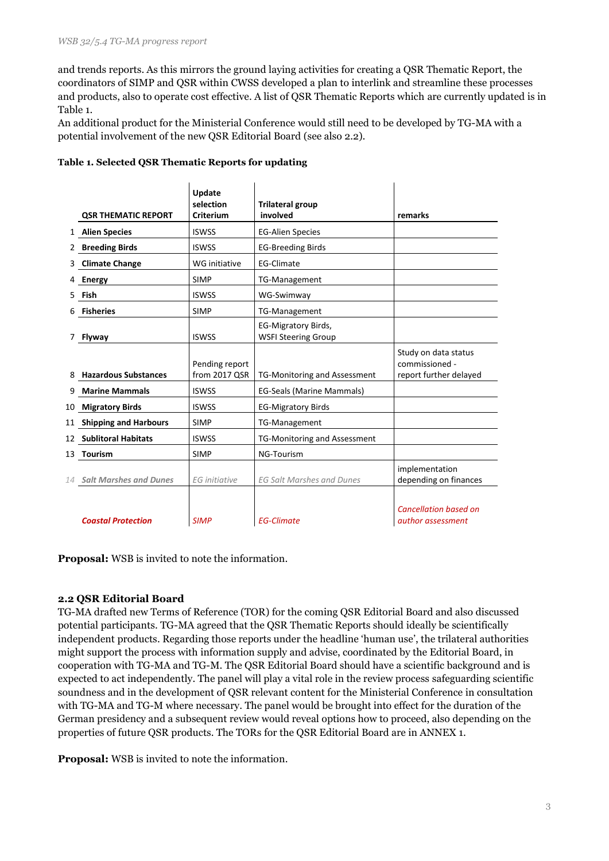and trends reports. As this mirrors the ground laying activities for creating a QSR Thematic Report, the coordinators of SIMP and QSR within CWSS developed a plan to interlink and streamline these processes and products, also to operate cost effective. A list of QSR Thematic Reports which are currently updated is in Table 1.

An additional product for the Ministerial Conference would still need to be developed by TG-MA with a potential involvement of the new QSR Editorial Board (see also 2.2).

|              | <b>QSR THEMATIC REPORT</b>  | Update<br>selection<br><b>Criterium</b> | <b>Trilateral group</b><br>involved               | remarks                                                          |
|--------------|-----------------------------|-----------------------------------------|---------------------------------------------------|------------------------------------------------------------------|
| $\mathbf{1}$ | <b>Alien Species</b>        | <b>ISWSS</b>                            | <b>EG-Alien Species</b>                           |                                                                  |
|              | 2 Breeding Birds            | <b>ISWSS</b>                            | <b>EG-Breeding Birds</b>                          |                                                                  |
| 3            | <b>Climate Change</b>       | <b>WG</b> initiative                    | <b>EG-Climate</b>                                 |                                                                  |
|              | <b>Energy</b>               | <b>SIMP</b>                             | <b>TG-Management</b>                              |                                                                  |
| 5.           | Fish                        | <b>ISWSS</b>                            | WG-Swimway                                        |                                                                  |
|              | <b>Fisheries</b>            | <b>SIMP</b>                             | TG-Management                                     |                                                                  |
|              | <b>Flyway</b>               | <b>ISWSS</b>                            | EG-Migratory Birds,<br><b>WSFI Steering Group</b> |                                                                  |
|              | <b>Hazardous Substances</b> | Pending report<br>from 2017 QSR         | <b>TG-Monitoring and Assessment</b>               | Study on data status<br>commissioned -<br>report further delayed |
| 9            | <b>Marine Mammals</b>       | <b>ISWSS</b>                            | EG-Seals (Marine Mammals)                         |                                                                  |
| 10           | <b>Migratory Birds</b>      | <b>ISWSS</b>                            | <b>EG-Migratory Birds</b>                         |                                                                  |
|              | 11 Shipping and Harbours    | <b>SIMP</b>                             | TG-Management                                     |                                                                  |
|              | 12 Sublitoral Habitats      | <b>ISWSS</b>                            | <b>TG-Monitoring and Assessment</b>               |                                                                  |
|              | 13 Tourism                  | <b>SIMP</b>                             | NG-Tourism                                        |                                                                  |
|              | 14 Salt Marshes and Dunes   | <b>EG</b> initiative                    | <b>EG Salt Marshes and Dunes</b>                  | implementation<br>depending on finances                          |
|              | <b>Coastal Protection</b>   | <b>SIMP</b>                             | <b>EG-Climate</b>                                 | <b>Cancellation based on</b><br>author assessment                |

#### **Table 1. Selected QSR Thematic Reports for updating**

**Proposal:** WSB is invited to note the information.

#### **2.2 QSR Editorial Board**

TG-MA drafted new Terms of Reference (TOR) for the coming QSR Editorial Board and also discussed potential participants. TG-MA agreed that the QSR Thematic Reports should ideally be scientifically independent products. Regarding those reports under the headline 'human use', the trilateral authorities might support the process with information supply and advise, coordinated by the Editorial Board, in cooperation with TG-MA and TG-M. The QSR Editorial Board should have a scientific background and is expected to act independently. The panel will play a vital role in the review process safeguarding scientific soundness and in the development of QSR relevant content for the Ministerial Conference in consultation with TG-MA and TG-M where necessary. The panel would be brought into effect for the duration of the German presidency and a subsequent review would reveal options how to proceed, also depending on the properties of future QSR products. The TORs for the QSR Editorial Board are in ANNEX 1.

**Proposal:** WSB is invited to note the information.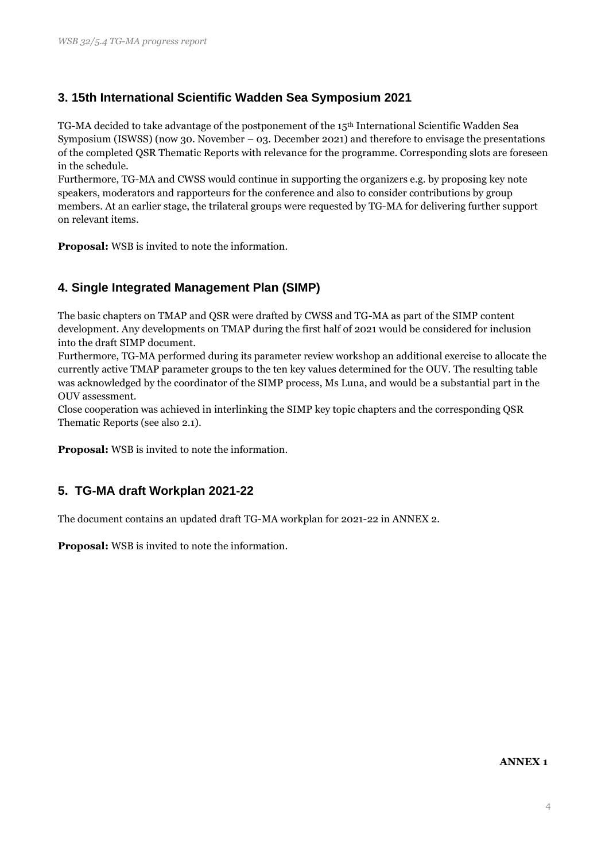## **3. 15th International Scientific Wadden Sea Symposium 2021**

TG-MA decided to take advantage of the postponement of the 15th International Scientific Wadden Sea Symposium (ISWSS) (now 30. November – 03. December 2021) and therefore to envisage the presentations of the completed QSR Thematic Reports with relevance for the programme. Corresponding slots are foreseen in the schedule.

Furthermore, TG-MA and CWSS would continue in supporting the organizers e.g. by proposing key note speakers, moderators and rapporteurs for the conference and also to consider contributions by group members. At an earlier stage, the trilateral groups were requested by TG-MA for delivering further support on relevant items.

**Proposal:** WSB is invited to note the information.

#### **4. Single Integrated Management Plan (SIMP)**

The basic chapters on TMAP and QSR were drafted by CWSS and TG-MA as part of the SIMP content development. Any developments on TMAP during the first half of 2021 would be considered for inclusion into the draft SIMP document.

Furthermore, TG-MA performed during its parameter review workshop an additional exercise to allocate the currently active TMAP parameter groups to the ten key values determined for the OUV. The resulting table was acknowledged by the coordinator of the SIMP process, Ms Luna, and would be a substantial part in the OUV assessment.

Close cooperation was achieved in interlinking the SIMP key topic chapters and the corresponding QSR Thematic Reports (see also 2.1).

**Proposal:** WSB is invited to note the information.

## **5. TG-MA draft Workplan 2021-22**

The document contains an updated draft TG-MA workplan for 2021-22 in ANNEX 2.

**Proposal:** WSB is invited to note the information.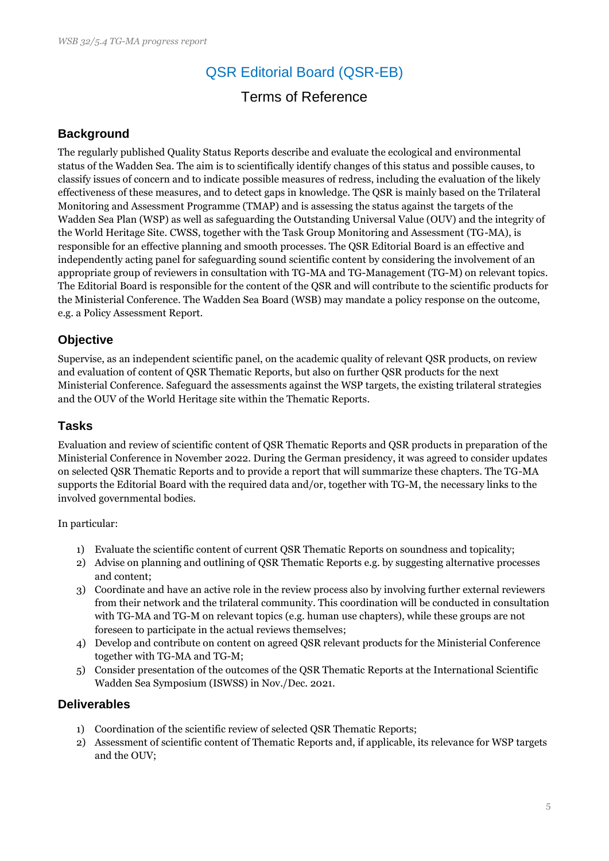# QSR Editorial Board (QSR-EB)

## Terms of Reference

### **Background**

The regularly published Quality Status Reports describe and evaluate the ecological and environmental status of the Wadden Sea. The aim is to scientifically identify changes of this status and possible causes, to classify issues of concern and to indicate possible measures of redress, including the evaluation of the likely effectiveness of these measures, and to detect gaps in knowledge. The QSR is mainly based on the Trilateral Monitoring and Assessment Programme (TMAP) and is assessing the status against the targets of the Wadden Sea Plan (WSP) as well as safeguarding the Outstanding Universal Value (OUV) and the integrity of the World Heritage Site. CWSS, together with the Task Group Monitoring and Assessment (TG-MA), is responsible for an effective planning and smooth processes. The QSR Editorial Board is an effective and independently acting panel for safeguarding sound scientific content by considering the involvement of an appropriate group of reviewers in consultation with TG-MA and TG-Management (TG-M) on relevant topics. The Editorial Board is responsible for the content of the QSR and will contribute to the scientific products for the Ministerial Conference. The Wadden Sea Board (WSB) may mandate a policy response on the outcome, e.g. a Policy Assessment Report.

#### **Objective**

Supervise, as an independent scientific panel, on the academic quality of relevant QSR products, on review and evaluation of content of QSR Thematic Reports, but also on further QSR products for the next Ministerial Conference. Safeguard the assessments against the WSP targets, the existing trilateral strategies and the OUV of the World Heritage site within the Thematic Reports.

## **Tasks**

Evaluation and review of scientific content of QSR Thematic Reports and QSR products in preparation of the Ministerial Conference in November 2022. During the German presidency, it was agreed to consider updates on selected QSR Thematic Reports and to provide a report that will summarize these chapters. The TG-MA supports the Editorial Board with the required data and/or, together with TG-M, the necessary links to the involved governmental bodies.

In particular:

- 1) Evaluate the scientific content of current QSR Thematic Reports on soundness and topicality;
- 2) Advise on planning and outlining of QSR Thematic Reports e.g. by suggesting alternative processes and content;
- 3) Coordinate and have an active role in the review process also by involving further external reviewers from their network and the trilateral community. This coordination will be conducted in consultation with TG-MA and TG-M on relevant topics (e.g. human use chapters), while these groups are not foreseen to participate in the actual reviews themselves;
- 4) Develop and contribute on content on agreed QSR relevant products for the Ministerial Conference together with TG-MA and TG-M;
- 5) Consider presentation of the outcomes of the QSR Thematic Reports at the International Scientific Wadden Sea Symposium (ISWSS) in Nov./Dec. 2021.

#### **Deliverables**

- 1) Coordination of the scientific review of selected QSR Thematic Reports;
- 2) Assessment of scientific content of Thematic Reports and, if applicable, its relevance for WSP targets and the OUV;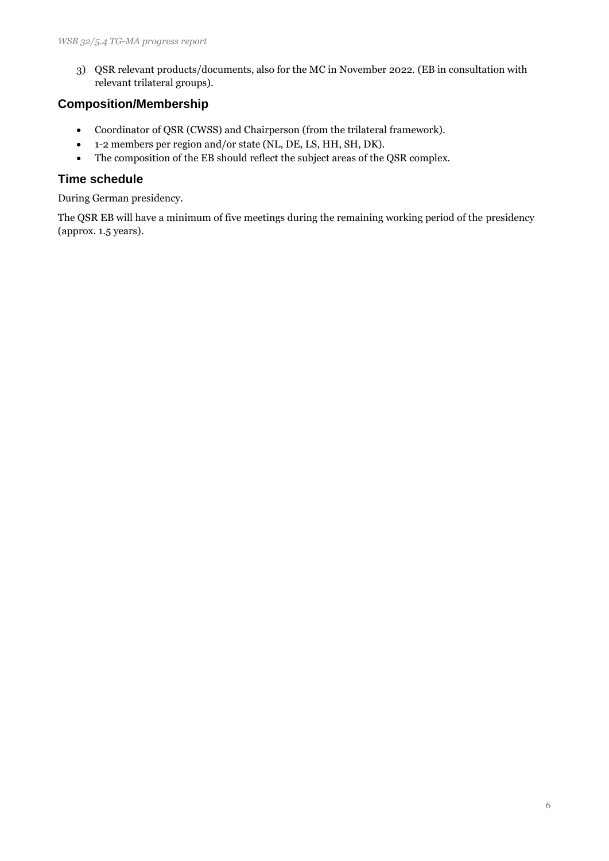3) QSR relevant products/documents, also for the MC in November 2022. (EB in consultation with relevant trilateral groups).

#### **Composition/Membership**

- Coordinator of QSR (CWSS) and Chairperson (from the trilateral framework).
- 1-2 members per region and/or state (NL, DE, LS, HH, SH, DK).
- The composition of the EB should reflect the subject areas of the QSR complex.

#### **Time schedule**

During German presidency.

The QSR EB will have a minimum of five meetings during the remaining working period of the presidency (approx. 1.5 years).